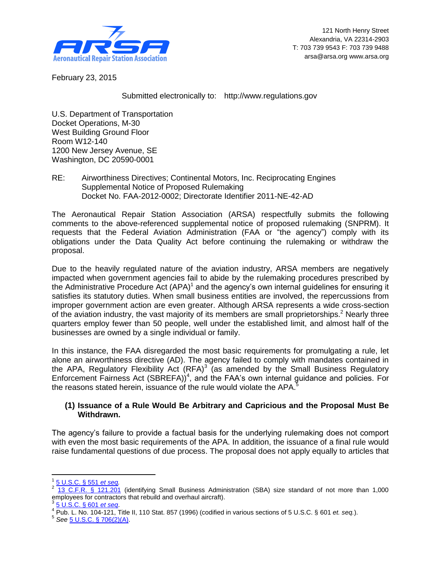

February 23, 2015

Submitted electronically to: http://www.regulations.gov

U.S. Department of Transportation Docket Operations, M-30 West Building Ground Floor Room W12-140 1200 New Jersey Avenue, SE Washington, DC 20590-0001

RE: Airworthiness Directives; Continental Motors, Inc. Reciprocating Engines Supplemental Notice of Proposed Rulemaking Docket No. FAA-2012-0002; Directorate Identifier 2011-NE-42-AD

The Aeronautical Repair Station Association (ARSA) respectfully submits the following comments to the above-referenced supplemental notice of proposed rulemaking (SNPRM). It requests that the Federal Aviation Administration (FAA or "the agency") comply with its obligations under the Data Quality Act before continuing the rulemaking or withdraw the proposal.

Due to the heavily regulated nature of the aviation industry, ARSA members are negatively impacted when government agencies fail to abide by the rulemaking procedures prescribed by the Administrative Procedure Act  $(APA)^1$  and the agency's own internal guidelines for ensuring it satisfies its statutory duties. When small business entities are involved, the repercussions from improper government action are even greater. Although ARSA represents a wide cross-section of the aviation industry, the vast majority of its members are small proprietorships.<sup>2</sup> Nearly three quarters employ fewer than 50 people, well under the established limit, and almost half of the businesses are owned by a single individual or family.

In this instance, the FAA disregarded the most basic requirements for promulgating a rule, let alone an airworthiness directive (AD). The agency failed to comply with mandates contained in the APA, Regulatory Flexibility Act  $(RFA)^3$  (as amended by the Small Business Regulatory Enforcement Fairness Act (SBREFA))<sup>4</sup>, and the FAA's own internal guidance and policies. For the reasons stated herein, issuance of the rule would violate the APA.<sup>5</sup>

## **(1) Issuance of a Rule Would Be Arbitrary and Capricious and the Proposal Must Be Withdrawn.**

The agency's failure to provide a factual basis for the underlying rulemaking does not comport with even the most basic requirements of the APA. In addition, the issuance of a final rule would raise fundamental questions of due process. The proposal does not apply equally to articles that

 $\overline{a}$ 

<sup>1</sup> [5 U.S.C. § 551](http://www.gpo.gov/fdsys/pkg/USCODE-2013-title5/pdf/USCODE-2013-title5-partI-chap5-subchapII.pdf) *et seq.*

<sup>2</sup> [13 C.F.R. § 121.201](http://www.ecfr.gov/cgi-bin/text-idx?SID=ec874445eb11fc40e2c7952475c2fa35&node=se13.1.121_1201&rgn=div8) (identifying Small Business Administration (SBA) size standard of not more than 1,000 employees for contractors that rebuild and overhaul aircraft).<br>3 F U S G S 601 of 200 [5 U.S.C. § 601](http://www.gpo.gov/fdsys/pkg/USCODE-2013-title5/pdf/USCODE-2013-title5-partI-chap6.pdf) *et seq*.

<sup>4</sup> Pub. L. No. 104-121, Title II, 110 Stat. 857 (1996) (codified in various sections of 5 U.S.C. § 601 *et. seq.*).

<sup>5</sup> *See* [5 U.S.C. § 706\(2\)\(A\).](http://www.gpo.gov/fdsys/pkg/USCODE-2013-title5/pdf/USCODE-2013-title5-partI-chap7-sec706.pdf)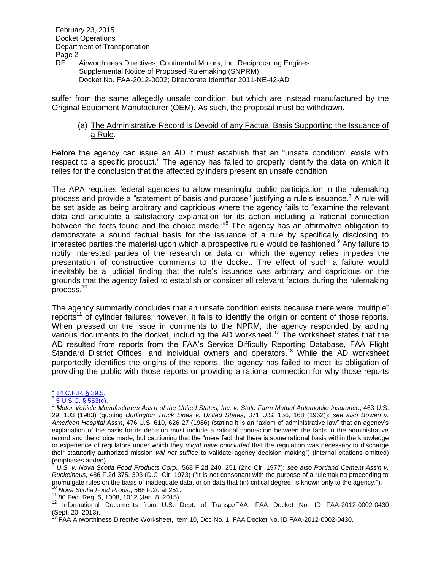RE: Airworthiness Directives; Continental Motors, Inc. Reciprocating Engines Supplemental Notice of Proposed Rulemaking (SNPRM) Docket No. FAA-2012-0002; Directorate Identifier 2011-NE-42-AD

suffer from the same allegedly unsafe condition, but which are instead manufactured by the Original Equipment Manufacturer (OEM). As such, the proposal must be withdrawn.

#### (a) The Administrative Record is Devoid of any Factual Basis Supporting the Issuance of a Rule*.*

Before the agency can issue an AD it must establish that an "unsafe condition" exists with respect to a specific product. $6$  The agency has failed to properly identify the data on which it relies for the conclusion that the affected cylinders present an unsafe condition.

The APA requires federal agencies to allow meaningful public participation in the rulemaking process and provide a "statement of basis and purpose" justifying a rule's issuance.<sup>7</sup> A rule will be set aside as being arbitrary and capricious where the agency fails to "examine the relevant data and articulate a satisfactory explanation for its action including a 'rational connection between the facts found and the choice made."<sup>8</sup> The agency has an affirmative obligation to demonstrate a sound factual basis for the issuance of a rule by specifically disclosing to interested parties the material upon which a prospective rule would be fashioned.<sup>9</sup> Any failure to notify interested parties of the research or data on which the agency relies impedes the presentation of constructive comments to the docket. The effect of such a failure would inevitably be a judicial finding that the rule's issuance was arbitrary and capricious on the grounds that the agency failed to establish or consider all relevant factors during the rulemaking process.<sup>10</sup>

The agency summarily concludes that an unsafe condition exists because there were "multiple" reports<sup>11</sup> of cylinder failures; however, it fails to identify the origin or content of those reports. When pressed on the issue in comments to the NPRM, the agency responded by adding various documents to the docket, including the AD worksheet.<sup>12</sup> The worksheet states that the AD resulted from reports from the FAA's Service Difficulty Reporting Database, FAA Flight Standard District Offices, and individual owners and operators.<sup>13</sup> While the AD worksheet purportedly identifies the origins of the reports, the agency has failed to meet its obligation of providing the public with those reports or providing a rational connection for why those reports

 6 [14 C.F.R. § 39.5.](http://www.ecfr.gov/cgi-bin/text-idx?SID=6b916f750a72eb769d83a575959bc94a&node=se14.1.39_15&rgn=div8)

 $\frac{7}{5}$  U.S.C. § 553(c).

<sup>8</sup> *Motor Vehicle Manufacturers Ass'n of the United States, Inc. v. State Farm Mutual Automobile Insurance*, 463 U.S. 29, 103 (1983) (quoting *Burlington Truck Lines v. United States*, 371 U.S. 156, 168 (1962)); *see also Bowen v. American Hospital Ass'n*, 476 U.S. 610, 626-27 (1986) (stating it is an "axiom of administrative law" that an agency's explanation of the basis for its decision must include a rational connection between the facts in the administrative record and the choice made, but cautioning that the "mere fact that there is some rational basis within the knowledge or experience of regulators under which they *might have concluded* that the regulation was necessary to discharge their statutorily authorized mission *will not suffice* to validate agency decision making") (internal citations omitted) (emphases added).

<sup>9</sup> *U.S. v. Nova Scotia Food Products Corp.*, 568 F.2d 240, 251 (2nd Cir. 1977); *see also Portland Cement Ass'n v. Ruckelhaus*, 486 F.2d 375, 393 (D.C. Cir. 1973) ("It is not consonant with the purpose of a rulemaking proceeding to promulgate rules on the basis of inadequate data, or on data that (in) critical degree, is known only to the agency.").

<sup>10</sup> *Nova Scotia Food Prods.*, 568 F.2d at 251.

<sup>11</sup> 80 Fed. Reg. 5, 1008, 1012 (Jan. 8, 2015).

<sup>12</sup> Informational Documents from U.S. Dept. of Transp./FAA, FAA Docket No. ID FAA-2012-0002-0430 (Sept. 20, 2013).

<sup>&</sup>lt;sup>13</sup> FAA Airworthiness Directive Worksheet, Item 10, Doc No. 1, FAA Docket No. ID FAA-2012-0002-0430.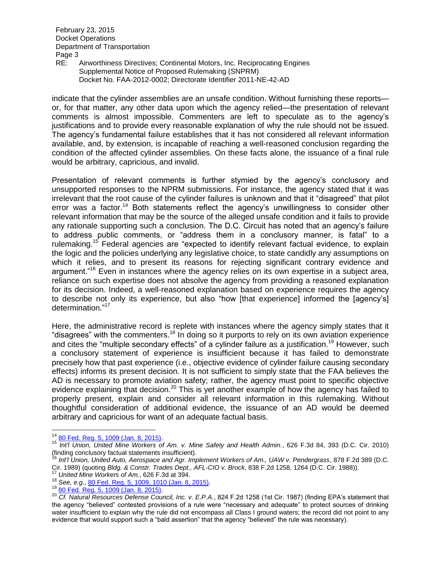RE: Airworthiness Directives; Continental Motors, Inc. Reciprocating Engines Supplemental Notice of Proposed Rulemaking (SNPRM) Docket No. FAA-2012-0002; Directorate Identifier 2011-NE-42-AD

indicate that the cylinder assemblies are an unsafe condition. Without furnishing these reports or, for that matter, any other data upon which the agency relied—the presentation of relevant comments is almost impossible. Commenters are left to speculate as to the agency's justifications and to provide every reasonable explanation of why the rule should not be issued. The agency's fundamental failure establishes that it has not considered all relevant information available, and, by extension, is incapable of reaching a well-reasoned conclusion regarding the condition of the affected cylinder assemblies. On these facts alone, the issuance of a final rule would be arbitrary, capricious, and invalid.

Presentation of relevant comments is further stymied by the agency's conclusory and unsupported responses to the NPRM submissions. For instance, the agency stated that it was irrelevant that the root cause of the cylinder failures is unknown and that it "disagreed" that pilot error was a factor.<sup>14</sup> Both statements reflect the agency's unwillingness to consider other relevant information that may be the source of the alleged unsafe condition and it fails to provide any rationale supporting such a conclusion. The D.C. Circuit has noted that an agency's failure to address public comments, or "address them in a conclusory manner, is fatal" to a rulemaking.<sup>15</sup> Federal agencies are "expected to identify relevant factual evidence, to explain the logic and the policies underlying any legislative choice, to state candidly any assumptions on which it relies, and to present its reasons for rejecting significant contrary evidence and argument."<sup>16</sup> Even in instances where the agency relies on its own expertise in a subject area, reliance on such expertise does not absolve the agency from providing a reasoned explanation for its decision. Indeed, a well-reasoned explanation based on experience requires the agency to describe not only its experience, but also "how [that experience] informed the [agency's] determination."<sup>17</sup>

Here, the administrative record is replete with instances where the agency simply states that it "disagrees" with the commenters.<sup>18</sup> In doing so it purports to rely on its own aviation experience and cites the "multiple secondary effects" of a cylinder failure as a justification.<sup>19</sup> However, such a conclusory statement of experience is insufficient because it has failed to demonstrate precisely how that past experience (i.e., objective evidence of cylinder failure causing secondary effects) informs its present decision. It is not sufficient to simply state that the FAA believes the AD is necessary to promote aviation safety; rather, the agency must point to specific objective evidence explaining that decision.<sup>20</sup> This is yet another example of how the agency has failed to properly present, explain and consider all relevant information in this rulemaking. Without thoughtful consideration of additional evidence, the issuance of an AD would be deemed arbitrary and capricious for want of an adequate factual basis.

 $\overline{a}$ 

<sup>&</sup>lt;sup>14</sup> [80 Fed. Reg. 5, 1009 \(Jan. 8, 2015\).](http://www.gpo.gov/fdsys/pkg/FR-2015-01-08/pdf/2015-00152.pdf)

<sup>15</sup> *Int'l Union, United Mine Workers of Am. v. Mine Safety and Health Admin.*, 626 F.3d 84, 393 (D.C. Cir. 2010) (finding conclusory factual statements insufficient).

<sup>16</sup> *Int'l Union, United Auto, Aerospace and Agr. Implement Workers of Am., UAW v. Pendergrass*, 878 F.2d 389 (D.C. Cir. 1989) (quoting *Bldg. & Constr. Trades Dept., AFL-CIO v. Brock*, 838 F.2d 1258, 1264 (D.C. Cir. 1988)). United Mine Workers of Am., 626 F.3d at 394.

<sup>18</sup> *See, e.g.*, [80 Fed. Reg. 5, 1009, 1010 \(Jan. 8, 2015\).](http://www.gpo.gov/fdsys/pkg/FR-2015-01-08/pdf/2015-00152.pdf)

<sup>19</sup> [80 Fed. Reg. 5, 1009 \(Jan. 8, 2015\).](http://www.gpo.gov/fdsys/pkg/FR-2015-01-08/pdf/2015-00152.pdf)

<sup>20</sup> *Cf. Natural Resources Defense Council, Inc. v. E.P.A.*, 824 F.2d 1258 (1st Cir. 1987) (finding EPA's statement that the agency "believed" contested provisions of a rule were "necessary and adequate" to protect sources of drinking water insufficient to explain why the rule did not encompass all Class I ground waters; the record did not point to any evidence that would support such a "bald assertion" that the agency "believed" the rule was necessary).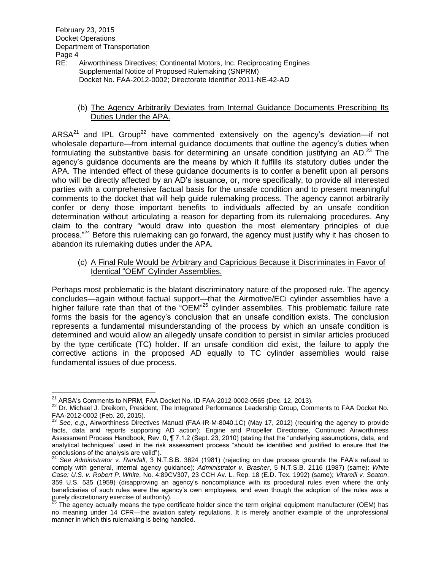RE: Airworthiness Directives; Continental Motors, Inc. Reciprocating Engines Supplemental Notice of Proposed Rulemaking (SNPRM) Docket No. FAA-2012-0002; Directorate Identifier 2011-NE-42-AD

#### (b) The Agency Arbitrarily Deviates from Internal Guidance Documents Prescribing Its Duties Under the APA.

ARSA $^{21}$  and IPL Group<sup>22</sup> have commented extensively on the agency's deviation—if not wholesale departure—from internal guidance documents that outline the agency's duties when formulating the substantive basis for determining an unsafe condition justifying an AD.<sup>23</sup> The agency's guidance documents are the means by which it fulfills its statutory duties under the APA. The intended effect of these guidance documents is to confer a benefit upon all persons who will be directly affected by an AD's issuance, or, more specifically, to provide all interested parties with a comprehensive factual basis for the unsafe condition and to present meaningful comments to the docket that will help guide rulemaking process. The agency cannot arbitrarily confer or deny those important benefits to individuals affected by an unsafe condition determination without articulating a reason for departing from its rulemaking procedures. Any claim to the contrary "would draw into question the most elementary principles of due process."<sup>24</sup> Before this rulemaking can go forward, the agency must justify why it has chosen to abandon its rulemaking duties under the APA.

#### (c) A Final Rule Would be Arbitrary and Capricious Because it Discriminates in Favor of Identical "OEM" Cylinder Assemblies.

Perhaps most problematic is the blatant discriminatory nature of the proposed rule. The agency concludes—again without factual support—that the Airmotive/ECi cylinder assemblies have a higher failure rate than that of the "OEM"<sup>25</sup> cylinder assemblies. This problematic failure rate forms the basis for the agency's conclusion that an unsafe condition exists. The conclusion represents a fundamental misunderstanding of the process by which an unsafe condition is determined and would allow an allegedly unsafe condition to persist in similar articles produced by the type certificate (TC) holder. If an unsafe condition did exist, the failure to apply the corrective actions in the proposed AD equally to TC cylinder assemblies would raise fundamental issues of due process.

 $\overline{a}$  $^{21}$  ARSA's Comments to NPRM, FAA Docket No. ID FAA-2012-0002-0565 (Dec. 12, 2013).

<sup>&</sup>lt;sup>22</sup> Dr. Michael J. Dreikorn, President, The Integrated Performance Leadership Group, Comments to FAA Docket No. FAA-2012-0002 (Feb. 20, 2015).

<sup>23</sup> *See, e.g.*, Airworthiness Directives Manual (FAA-IR-M-8040.1C) (May 17, 2012) (requiring the agency to provide facts, data and reports supporting AD action); Engine and Propeller Directorate, Continued Airworthiness Assessment Process Handbook, Rev. 0, ¶ 7.1.2 (Sept. 23, 2010) (stating that the "underlying assumptions, data, and analytical techniques" used in the risk assessment process "should be identified and justified to ensure that the conclusions of the analysis are valid").

<sup>24</sup> *See Administrator v. Randall*, 3 N.T.S.B. 3624 (1981) (rejecting on due process grounds the FAA's refusal to comply with general, internal agency guidance); *Administrator v. Brasher*, 5 N.T.S.B. 2116 (1987) (same); *White Case: U.S. v. Robert P. White*, No. 4:89CV307, 23 CCH Av. L. Rep. 18 (E.D. Tex. 1992) (same); *Vitarelli v. Seaton*, 359 U.S. 535 (1959) (disapproving an agency's noncompliance with its procedural rules even where the only beneficiaries of such rules were the agency's own employees, and even though the adoption of the rules was a purely discretionary exercise of authority).

<sup>25</sup> The agency actually means the type certificate holder since the term original equipment manufacturer (OEM) has no meaning under 14 CFR—the aviation safety regulations. It is merely another example of the unprofessional manner in which this rulemaking is being handled.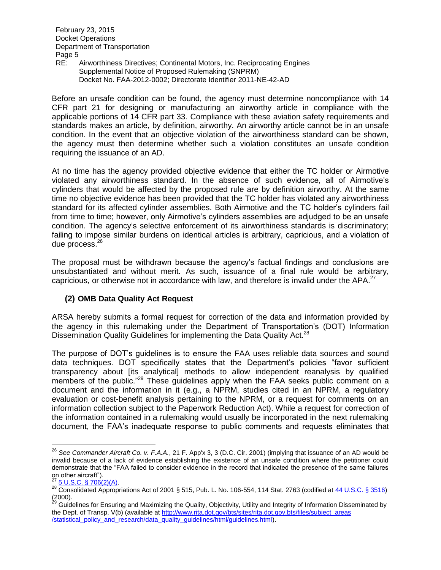RE: Airworthiness Directives; Continental Motors, Inc. Reciprocating Engines Supplemental Notice of Proposed Rulemaking (SNPRM) Docket No. FAA-2012-0002; Directorate Identifier 2011-NE-42-AD

Before an unsafe condition can be found, the agency must determine noncompliance with 14 CFR part 21 for designing or manufacturing an airworthy article in compliance with the applicable portions of 14 CFR part 33. Compliance with these aviation safety requirements and standards makes an article, by definition, airworthy. An airworthy article cannot be in an unsafe condition. In the event that an objective violation of the airworthiness standard can be shown, the agency must then determine whether such a violation constitutes an unsafe condition requiring the issuance of an AD.

At no time has the agency provided objective evidence that either the TC holder or Airmotive violated any airworthiness standard. In the absence of such evidence, all of Airmotive's cylinders that would be affected by the proposed rule are by definition airworthy. At the same time no objective evidence has been provided that the TC holder has violated any airworthiness standard for its affected cylinder assemblies. Both Airmotive and the TC holder's cylinders fail from time to time; however, only Airmotive's cylinders assemblies are adjudged to be an unsafe condition. The agency's selective enforcement of its airworthiness standards is discriminatory; failing to impose similar burdens on identical articles is arbitrary, capricious, and a violation of due process. 26

The proposal must be withdrawn because the agency's factual findings and conclusions are unsubstantiated and without merit. As such, issuance of a final rule would be arbitrary, capricious, or otherwise not in accordance with law, and therefore is invalid under the APA.<sup>27</sup>

# **(2) OMB Data Quality Act Request**

ARSA hereby submits a formal request for correction of the data and information provided by the agency in this rulemaking under the Department of Transportation's (DOT) Information Dissemination Quality Guidelines for implementing the Data Quality Act.<sup>28</sup>

The purpose of DOT's guidelines is to ensure the FAA uses reliable data sources and sound data techniques. DOT specifically states that the Department's policies "favor sufficient transparency about [its analytical] methods to allow independent reanalysis by qualified members of the public."<sup>29</sup> These guidelines apply when the FAA seeks public comment on a document and the information in it (e.g., a NPRM, studies cited in an NPRM, a regulatory evaluation or cost-benefit analysis pertaining to the NPRM, or a request for comments on an information collection subject to the Paperwork Reduction Act). While a request for correction of the information contained in a rulemaking would usually be incorporated in the next rulemaking document, the FAA's inadequate response to public comments and requests eliminates that

 $\overline{a}$ 

<sup>26</sup> *See Commander Aircraft Co. v. F.A.A.*, 21 F. App'x 3, 3 (D.C. Cir. 2001) (implying that issuance of an AD would be invalid because of a lack of evidence establishing the existence of an unsafe condition where the petitioner could demonstrate that the "FAA failed to consider evidence in the record that indicated the presence of the same failures on other aircraft").

 $^{27}$  [5 U.S.C. § 706\(2\)\(A\).](http://www.gpo.gov/fdsys/pkg/USCODE-2013-title5/pdf/USCODE-2013-title5-partI-chap7-sec706.pdf)

<sup>28</sup> Consolidated Appropriations Act of 2001 § 515, Pub. L. No. 106-554, 114 Stat. 2763 (codified a[t 44 U.S.C. § 3516\)](http://www.gpo.gov/fdsys/pkg/USCODE-2013-title44/pdf/USCODE-2013-title44-chap35-subchapI-sec3516.pdf) (2000).

<sup>&</sup>lt;sup>29</sup> Guidelines for Ensuring and Maximizing the Quality, Objectivity, Utility and Integrity of Information Disseminated by the Dept. of Transp. V(b) (available at [http://www.rita.dot.gov/bts/sites/rita.dot.gov.bts/files/subject\\_areas](http://www.rita.dot.gov/bts/sites/rita.dot.gov.bts/files/subject_areas/statistical_policy_and_research/data_quality_guidelines/html/guidelines.html) [/statistical\\_policy\\_and\\_research/data\\_quality\\_guidelines/html/guidelines.html\)](http://www.rita.dot.gov/bts/sites/rita.dot.gov.bts/files/subject_areas/statistical_policy_and_research/data_quality_guidelines/html/guidelines.html).